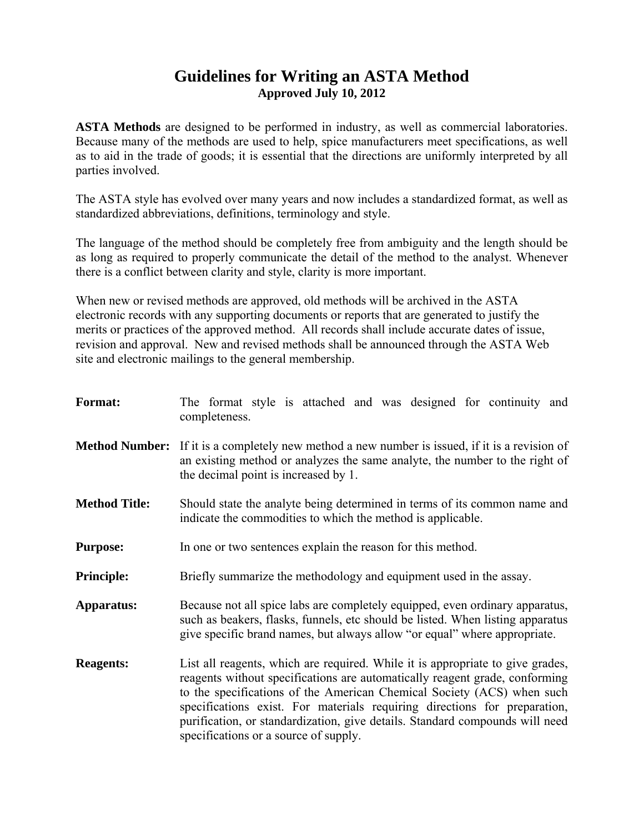# **Guidelines for Writing an ASTA Method Approved July 10, 2012**

**ASTA Methods** are designed to be performed in industry, as well as commercial laboratories. Because many of the methods are used to help, spice manufacturers meet specifications, as well as to aid in the trade of goods; it is essential that the directions are uniformly interpreted by all parties involved.

The ASTA style has evolved over many years and now includes a standardized format, as well as standardized abbreviations, definitions, terminology and style.

The language of the method should be completely free from ambiguity and the length should be as long as required to properly communicate the detail of the method to the analyst. Whenever there is a conflict between clarity and style, clarity is more important.

When new or revised methods are approved, old methods will be archived in the ASTA electronic records with any supporting documents or reports that are generated to justify the merits or practices of the approved method. All records shall include accurate dates of issue, revision and approval. New and revised methods shall be announced through the ASTA Web site and electronic mailings to the general membership.

| <b>Format:</b>        | The format style is attached and was designed for continuity and<br>completeness.                                                                                                                                                                                                                                                                                                                                                             |  |  |
|-----------------------|-----------------------------------------------------------------------------------------------------------------------------------------------------------------------------------------------------------------------------------------------------------------------------------------------------------------------------------------------------------------------------------------------------------------------------------------------|--|--|
| <b>Method Number:</b> | If it is a completely new method a new number is issued, if it is a revision of<br>an existing method or analyzes the same analyte, the number to the right of<br>the decimal point is increased by 1.                                                                                                                                                                                                                                        |  |  |
| <b>Method Title:</b>  | Should state the analyte being determined in terms of its common name and<br>indicate the commodities to which the method is applicable.                                                                                                                                                                                                                                                                                                      |  |  |
| <b>Purpose:</b>       | In one or two sentences explain the reason for this method.                                                                                                                                                                                                                                                                                                                                                                                   |  |  |
| <b>Principle:</b>     | Briefly summarize the methodology and equipment used in the assay.                                                                                                                                                                                                                                                                                                                                                                            |  |  |
| Apparatus:            | Because not all spice labs are completely equipped, even ordinary apparatus,<br>such as beakers, flasks, funnels, etc should be listed. When listing apparatus<br>give specific brand names, but always allow "or equal" where appropriate.                                                                                                                                                                                                   |  |  |
| <b>Reagents:</b>      | List all reagents, which are required. While it is appropriate to give grades,<br>reagents without specifications are automatically reagent grade, conforming<br>to the specifications of the American Chemical Society (ACS) when such<br>specifications exist. For materials requiring directions for preparation,<br>purification, or standardization, give details. Standard compounds will need<br>specifications or a source of supply. |  |  |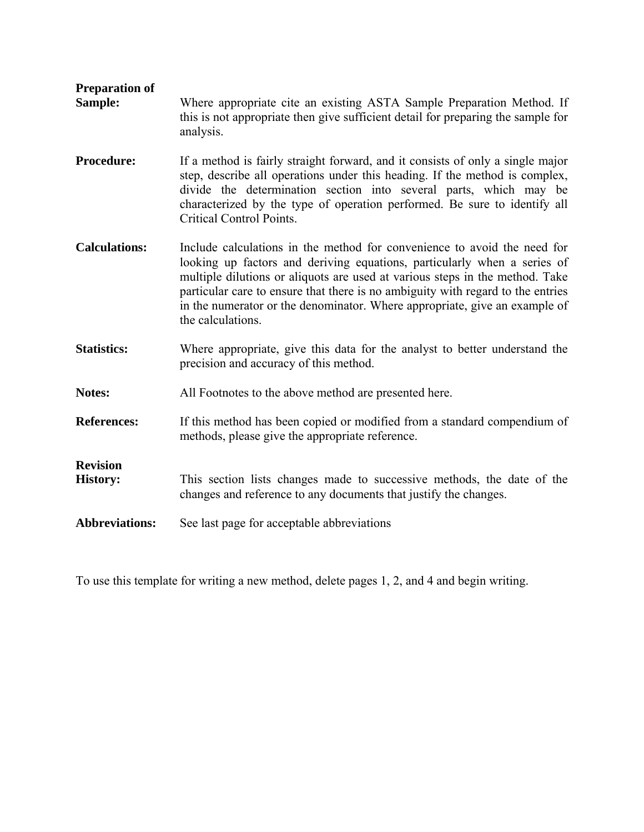| <b>Preparation of</b><br>Sample:   | Where appropriate cite an existing ASTA Sample Preparation Method. If<br>this is not appropriate then give sufficient detail for preparing the sample for<br>analysis.                                                                                                                                                                                                                                                     |  |  |
|------------------------------------|----------------------------------------------------------------------------------------------------------------------------------------------------------------------------------------------------------------------------------------------------------------------------------------------------------------------------------------------------------------------------------------------------------------------------|--|--|
| <b>Procedure:</b>                  | If a method is fairly straight forward, and it consists of only a single major<br>step, describe all operations under this heading. If the method is complex,<br>divide the determination section into several parts, which may be<br>characterized by the type of operation performed. Be sure to identify all<br>Critical Control Points.                                                                                |  |  |
| <b>Calculations:</b>               | Include calculations in the method for convenience to avoid the need for<br>looking up factors and deriving equations, particularly when a series of<br>multiple dilutions or aliquots are used at various steps in the method. Take<br>particular care to ensure that there is no ambiguity with regard to the entries<br>in the numerator or the denominator. Where appropriate, give an example of<br>the calculations. |  |  |
| <b>Statistics:</b>                 | Where appropriate, give this data for the analyst to better understand the<br>precision and accuracy of this method.                                                                                                                                                                                                                                                                                                       |  |  |
| Notes:                             | All Footnotes to the above method are presented here.                                                                                                                                                                                                                                                                                                                                                                      |  |  |
| <b>References:</b>                 | If this method has been copied or modified from a standard compendium of<br>methods, please give the appropriate reference.                                                                                                                                                                                                                                                                                                |  |  |
| <b>Revision</b><br><b>History:</b> | This section lists changes made to successive methods, the date of the<br>changes and reference to any documents that justify the changes.                                                                                                                                                                                                                                                                                 |  |  |
| <b>Abbreviations:</b>              | See last page for acceptable abbreviations                                                                                                                                                                                                                                                                                                                                                                                 |  |  |

To use this template for writing a new method, delete pages 1, 2, and 4 and begin writing.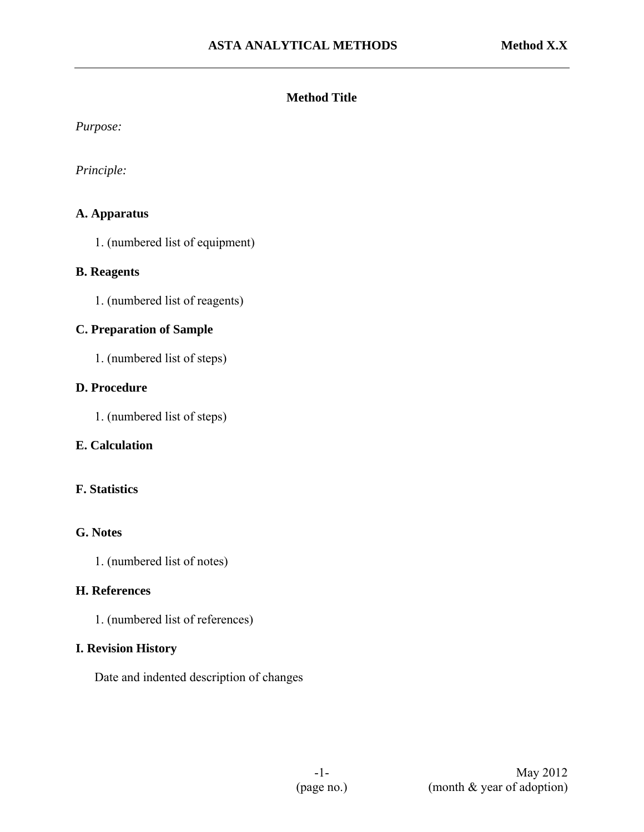#### **Method Title**

*Purpose:* 

*Principle:* 

#### **A. Apparatus**

1. (numbered list of equipment)

#### **B. Reagents**

1. (numbered list of reagents)

# **C. Preparation of Sample**

1. (numbered list of steps)

# **D. Procedure**

1. (numbered list of steps)

# **E. Calculation**

# **F. Statistics**

# **G. Notes**

1. (numbered list of notes)

#### **H. References**

1. (numbered list of references)

#### **I. Revision History**

Date and indented description of changes